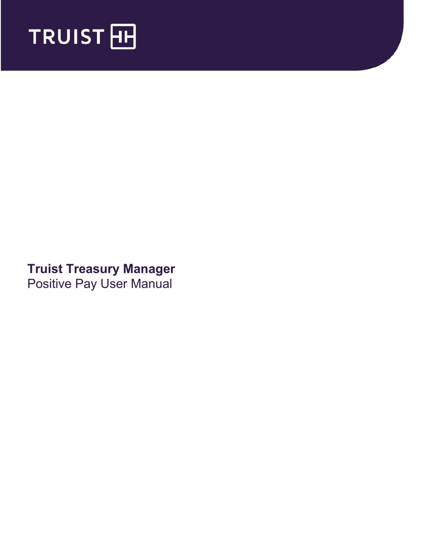

# **Truist Treasury Manager** Positive Pay User Manual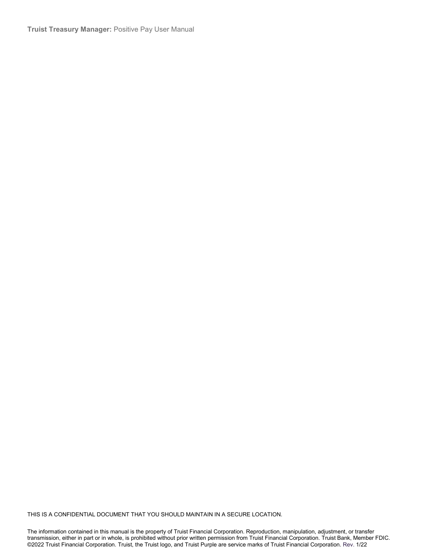**Truist Treasury Manager:** Positive Pay User Manual

THIS IS A CONFIDENTIAL DOCUMENT THAT YOU SHOULD MAINTAIN IN A SECURE LOCATION.

The information contained in this manual is the property of Truist Financial Corporation. Reproduction, manipulation, adjustment, or transfer transmission, either in part or in whole, is prohibited without prior written permission from Truist Financial Corporation. Truist Bank, Member FDIC. ©2022 Truist Financial Corporation. Truist, the Truist logo, and Truist Purple are service marks of Truist Financial Corporation. Rev. 1/22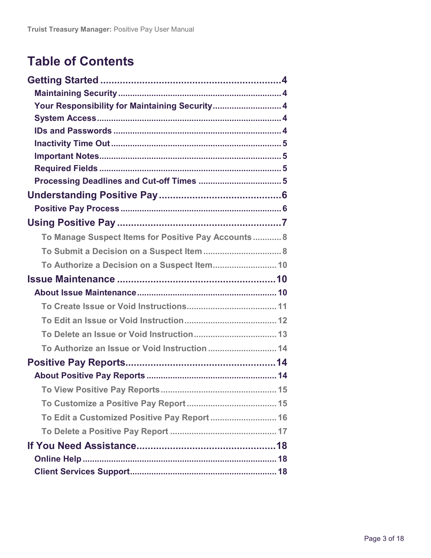# **Table of Contents**

| Your Responsibility for Maintaining Security 4      |  |
|-----------------------------------------------------|--|
|                                                     |  |
|                                                     |  |
|                                                     |  |
|                                                     |  |
|                                                     |  |
|                                                     |  |
|                                                     |  |
|                                                     |  |
|                                                     |  |
| To Manage Suspect Items for Positive Pay Accounts 8 |  |
|                                                     |  |
| To Authorize a Decision on a Suspect Item 10        |  |
|                                                     |  |
|                                                     |  |
|                                                     |  |
|                                                     |  |
|                                                     |  |
|                                                     |  |
|                                                     |  |
|                                                     |  |
|                                                     |  |
|                                                     |  |
| To Edit a Customized Positive Pay Report  16        |  |
|                                                     |  |
|                                                     |  |
|                                                     |  |
|                                                     |  |
|                                                     |  |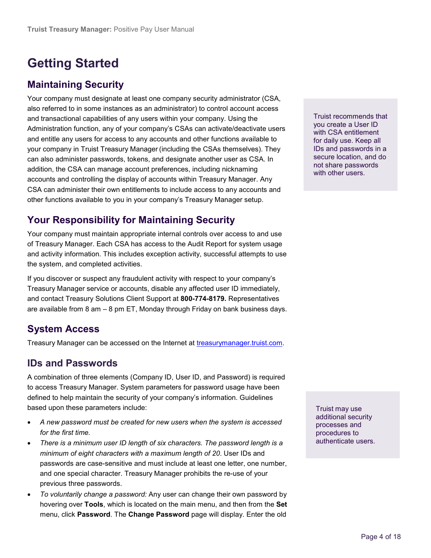# <span id="page-3-0"></span>**Getting Started**

### <span id="page-3-1"></span>**Maintaining Security**

Your company must designate at least one company security administrator (CSA, also referred to in some instances as an administrator) to control account access and transactional capabilities of any users within your company. Using the Administration function, any of your company's CSAs can activate/deactivate users and entitle any users for access to any accounts and other functions available to your company in Truist Treasury Manager (including the CSAs themselves). They can also administer passwords, tokens, and designate another user as CSA. In addition, the CSA can manage account preferences, including nicknaming accounts and controlling the display of accounts within Treasury Manager. Any CSA can administer their own entitlements to include access to any accounts and other functions available to you in your company's Treasury Manager setup.

## <span id="page-3-2"></span>**Your Responsibility for Maintaining Security**

Your company must maintain appropriate internal controls over access to and use of Treasury Manager. Each CSA has access to the Audit Report for system usage and activity information. This includes exception activity, successful attempts to use the system, and completed activities.

If you discover or suspect any fraudulent activity with respect to your company's Treasury Manager service or accounts, disable any affected user ID immediately, and contact Treasury Solutions Client Support at **800-774-8179.** Representatives are available from 8 am – 8 pm ET, Monday through Friday on bank business days.

# <span id="page-3-3"></span>**System Access**

Treasury Manager can be accessed on the Internet at [treasurymanager.truist.com.](http://www.suntrust.com/sunviewtreasurymanager%20treasurymanager.truist.com)

### <span id="page-3-4"></span>**IDs and Passwords**

A combination of three elements (Company ID, User ID, and Password) is required to access Treasury Manager. System parameters for password usage have been defined to help maintain the security of your company's information. Guidelines based upon these parameters include:

- *A new password must be created for new users when the system is accessed for the first time.*
- *There is a minimum user ID length of six characters. The password length is a minimum of eight characters with a maximum length of 20*. User IDs and passwords are case-sensitive and must include at least one letter, one number, and one special character. Treasury Manager prohibits the re-use of your previous three passwords.
- *To voluntarily change a password:* Any user can change their own password by hovering over **Tools**, which is located on the main menu, and then from the **Set** menu, click **Password**. The **Change Password** page will display. Enter the old

Truist recommends that you create a User ID with CSA entitlement for daily use. Keep all IDs and passwords in a secure location, and do not share passwords with other users.

Truist may use additional security processes and procedures to authenticate users.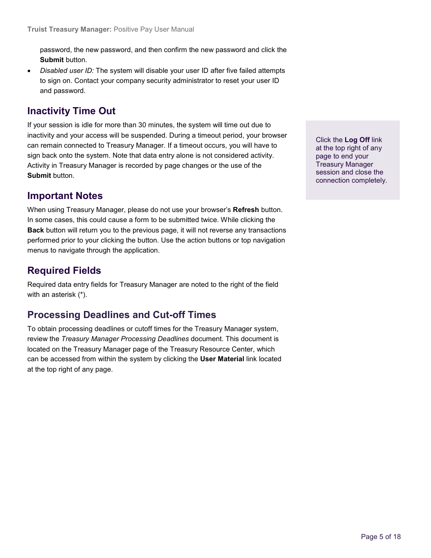password, the new password, and then confirm the new password and click the **Submit** button.

• *Disabled user ID:* The system will disable your user ID after five failed attempts to sign on. Contact your company security administrator to reset your user ID and password.

### <span id="page-4-0"></span>**Inactivity Time Out**

If your session is idle for more than 30 minutes, the system will time out due to inactivity and your access will be suspended. During a timeout period, your browser can remain connected to Treasury Manager. If a timeout occurs, you will have to sign back onto the system. Note that data entry alone is not considered activity. Activity in Treasury Manager is recorded by page changes or the use of the **Submit** button.

### <span id="page-4-1"></span>**Important Notes**

When using Treasury Manager, please do not use your browser's **Refresh** button. In some cases, this could cause a form to be submitted twice. While clicking the **Back** button will return you to the previous page, it will not reverse any transactions performed prior to your clicking the button. Use the action buttons or top navigation menus to navigate through the application.

### <span id="page-4-2"></span>**Required Fields**

Required data entry fields for Treasury Manager are noted to the right of the field with an asterisk (\*).

### <span id="page-4-3"></span>**Processing Deadlines and Cut-off Times**

To obtain processing deadlines or cutoff times for the Treasury Manager system, review the *Treasury Manager Processing Deadlines* document. This document is located on the Treasury Manager page of the Treasury Resource Center, which can be accessed from within the system by clicking the **User Material** link located at the top right of any page.

Click the **Log Off** link at the top right of any page to end your Treasury Manager session and close the connection completely.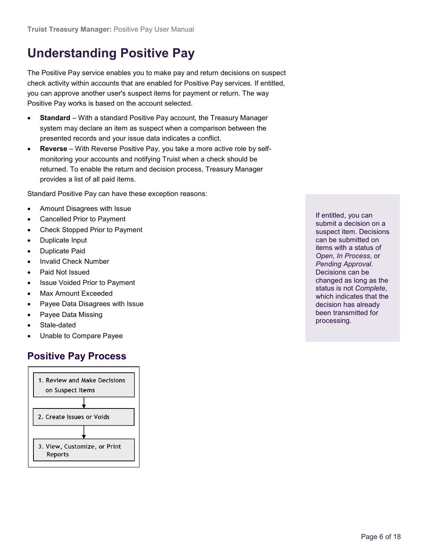# <span id="page-5-0"></span>**Understanding Positive Pay**

The Positive Pay service enables you to make pay and return decisions on suspect check activity within accounts that are enabled for Positive Pay services. If entitled, you can approve another user's suspect items for payment or return. The way Positive Pay works is based on the account selected.

- **Standard** With a standard Positive Pay account, the Treasury Manager system may declare an item as suspect when a comparison between the presented records and your issue data indicates a conflict.
- **Reverse** With Reverse Positive Pay, you take a more active role by selfmonitoring your accounts and notifying Truist when a check should be returned. To enable the return and decision process, Treasury Manager provides a list of all paid items.

Standard Positive Pay can have these exception reasons:

- Amount Disagrees with Issue
- Cancelled Prior to Payment
- Check Stopped Prior to Payment
- Duplicate Input
- Duplicate Paid
- Invalid Check Number
- Paid Not Issued
- Issue Voided Prior to Payment
- Max Amount Exceeded
- Payee Data Disagrees with Issue
- Payee Data Missing
- Stale-dated
- Unable to Compare Payee

# <span id="page-5-1"></span>**Positive Pay Process**



If entitled, you can submit a decision on a suspect item. Decisions can be submitted on items with a status of *Open*, *In Process*, or *Pending Approval*. Decisions can be changed as long as the status is not *Complete*, which indicates that the decision has already been transmitted for processing.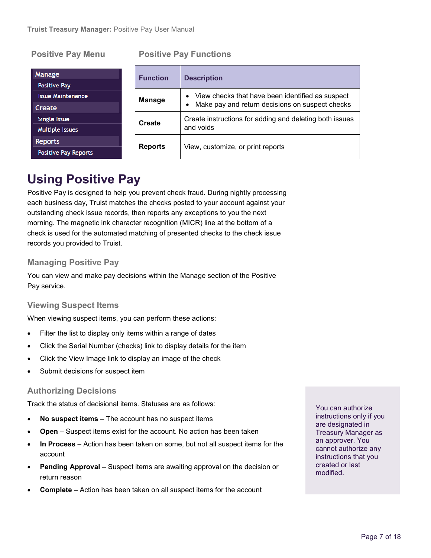#### **Positive Pay Menu Positive Pay Functions**

| <b>Manage</b><br><b>Positive Pay</b> | <b>Function</b> | <b>Description</b>                                           |  |  |  |  |
|--------------------------------------|-----------------|--------------------------------------------------------------|--|--|--|--|
| <b>Issue Maintenance</b>             | Manage          | • View checks that have been identified as suspect           |  |  |  |  |
| Create                               |                 | Make pay and return decisions on suspect checks<br>$\bullet$ |  |  |  |  |
| Single Issue                         | <b>Create</b>   | Create instructions for adding and deleting both issues      |  |  |  |  |
| Multiple Issues                      |                 | and voids                                                    |  |  |  |  |
| <b>Reports</b>                       |                 |                                                              |  |  |  |  |
| <b>Positive Pay Reports</b>          | <b>Reports</b>  | View, customize, or print reports                            |  |  |  |  |

# <span id="page-6-0"></span>**Using Positive Pay**

Positive Pay is designed to help you prevent check fraud. During nightly processing each business day, Truist matches the checks posted to your account against your outstanding check issue records, then reports any exceptions to you the next morning. The magnetic ink character recognition (MICR) line at the bottom of a check is used for the automated matching of presented checks to the check issue records you provided to Truist.

#### **Managing Positive Pay**

You can view and make pay decisions within the Manage section of the Positive Pay service.

#### **Viewing Suspect Items**

When viewing suspect items, you can perform these actions:

- Filter the list to display only items within a range of dates
- Click the Serial Number (checks) link to display details for the item
- Click the View Image link to display an image of the check
- Submit decisions for suspect item

#### **Authorizing Decisions**

Track the status of decisional items. Statuses are as follows:

- **No suspect items** The account has no suspect items
- **Open** Suspect items exist for the account. No action has been taken
- **In Process** Action has been taken on some, but not all suspect items for the account
- **Pending Approval**  Suspect items are awaiting approval on the decision or return reason
- **Complete** Action has been taken on all suspect items for the account

You can authorize instructions only if you are designated in Treasury Manager as an approver. You cannot authorize any instructions that you created or last modified.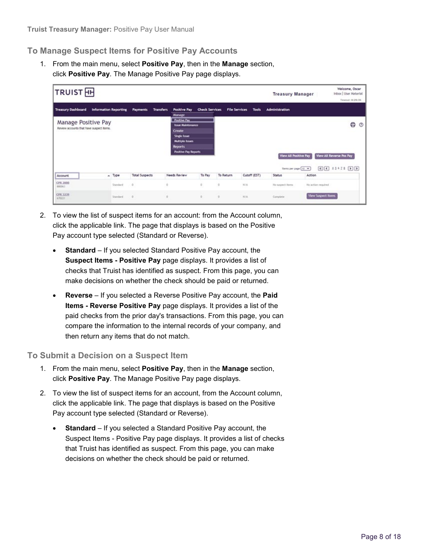#### <span id="page-7-0"></span>**To Manage Suspect Items for Positive Pay Accounts**

1. From the main menu, select **Positive Pay**, then in the **Manage** section, click **Positive Pay**. The Manage Positive Pay page displays.

| <b>TRUIST</b> <sub>HH</sub>                                     |                              |           |                       |                                                                                                                                                     |                       |                  |                               | <b>Treasury Manager</b>                                | Welcome, Oscar<br>Inbox   User Material<br>Timeout: 0:29:35     |
|-----------------------------------------------------------------|------------------------------|-----------|-----------------------|-----------------------------------------------------------------------------------------------------------------------------------------------------|-----------------------|------------------|-------------------------------|--------------------------------------------------------|-----------------------------------------------------------------|
| <b>Treasury Dashboard</b>                                       | <b>Information Reporting</b> |           | <b>Payments</b>       | <b>Transfers</b><br><b>Positive Pay</b><br>Manage                                                                                                   | <b>Check Services</b> |                  | <b>File Services</b><br>Tools | <b>Administration</b>                                  |                                                                 |
| Manage Positive Pay<br>Review accounts that have suspect items. |                              |           |                       | <b>Positive Pay</b><br><b>Issue Maintenance</b><br>Create<br>Single hour-<br><b>Multiple hours</b><br><b>Reports</b><br><b>Positive Pay Reports</b> |                       |                  |                               | <b>View All Positive Pay</b><br>Iberto per page [10 w] | ₿<br>$^{\circ}$<br>View All Reverse Pos Pay<br>$E$ $I$ $11$ $D$ |
| Account                                                         |                              | » Type    | <b>Total Suspects</b> | Needs Review                                                                                                                                        | To Pay                | <b>To Return</b> | Cutoff (EST)                  | <b>Status</b>                                          | Action                                                          |
| <b>CPR 2880</b><br>880063                                       |                              | Standard. | ÷                     | ÷.                                                                                                                                                  | O.                    | O.               | N/A                           | No suspect items                                       | No action required                                              |
| CPR 3239<br>670221                                              |                              | Standard. | $\alpha$              | ×                                                                                                                                                   | $\alpha$              | $\alpha$         | N/A.                          | Complete:                                              | <b>View Suspect Items</b>                                       |

- 2. To view the list of suspect items for an account: from the Account column, click the applicable link. The page that displays is based on the Positive Pay account type selected (Standard or Reverse).
	- **Standard** If you selected Standard Positive Pay account, the **Suspect Items - Positive Pay** page displays. It provides a list of checks that Truist has identified as suspect. From this page, you can make decisions on whether the check should be paid or returned.
	- **Reverse** If you selected a Reverse Positive Pay account, the **Paid Items - Reverse Positive Pay** page displays. It provides a list of the paid checks from the prior day's transactions. From this page, you can compare the information to the internal records of your company, and then return any items that do not match.

#### <span id="page-7-1"></span>**To Submit a Decision on a Suspect Item**

- 1. From the main menu, select **Positive Pay**, then in the **Manage** section, click **Positive Pay**. The Manage Positive Pay page displays.
- 2. To view the list of suspect items for an account, from the Account column, click the applicable link. The page that displays is based on the Positive Pay account type selected (Standard or Reverse).
	- **Standard** If you selected a Standard Positive Pay account, the Suspect Items - Positive Pay page displays. It provides a list of checks that Truist has identified as suspect. From this page, you can make decisions on whether the check should be paid or returned.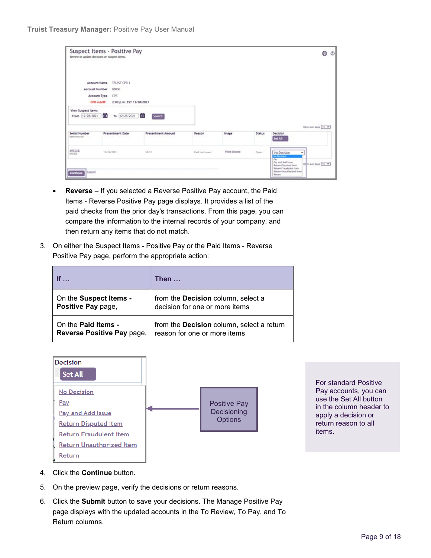|                                                        | Suspect Items - Positive Pay<br>Review or update decisions on suspect items.                                   |                                           |                 |            |        | 0<br>$\circ$                                                                                                                                                          |
|--------------------------------------------------------|----------------------------------------------------------------------------------------------------------------|-------------------------------------------|-----------------|------------|--------|-----------------------------------------------------------------------------------------------------------------------------------------------------------------------|
| <b>Account Number</b>                                  | TRUIST CPR 1<br><b>Account Name</b><br>88006<br>Account Type<br>CPR<br>CPR cutoff:<br>2:00 p.m. EST 12/28/2021 |                                           |                 |            |        |                                                                                                                                                                       |
| View Suspect Items<br>From 12/28/2021<br>Serial Number | To 12/28/2021<br>t 1<br><b>Presentment Date</b>                                                                | i.<br>Search<br><b>Presentment Amount</b> | Reason          | Image      | Status | Iberra per page [10] w<br>Decision                                                                                                                                    |
| Saterence (D)<br>195122<br>810208                      | 12/24/2021                                                                                                     | 59.12                                     | Paid Not Issued | View Image | Open   | Set All<br>No Decision<br>÷<br><b>Ho Decision</b>                                                                                                                     |
| Cancel<br>Continue                                     |                                                                                                                |                                           |                 |            |        | <b>Pay</b><br>Pay and Add locus.<br>Refins per page 10 %<br><b>Return Disputed Item</b><br><b>Return Fraudulent Item</b><br><b>Return Unauthorized Rem.</b><br>Return |

- **Reverse** If you selected a Reverse Positive Pay account, the Paid Items - Reverse Positive Pay page displays. It provides a list of the paid checks from the prior day's transactions. From this page, you can compare the information to the internal records of your company, and then return any items that do not match.
- 3. On either the Suspect Items Positive Pay or the Paid Items Reverse Positive Pay page, perform the appropriate action:

| <b>If</b>                  | Then …                                           |
|----------------------------|--------------------------------------------------|
| On the Suspect Items -     | from the <b>Decision</b> column, select a        |
| Positive Pay page,         | decision for one or more items                   |
| On the <b>Paid Items -</b> | from the <b>Decision</b> column, select a return |
| Reverse Positive Pay page, | reason for one or more items                     |



For standard Positive Pay accounts, you can use the Set All button in the column header to apply a decision or return reason to all items.

- 4. Click the **Continue** button.
- 5. On the preview page, verify the decisions or return reasons.
- 6. Click the **Submit** button to save your decisions. The Manage Positive Pay page displays with the updated accounts in the To Review, To Pay, and To Return columns.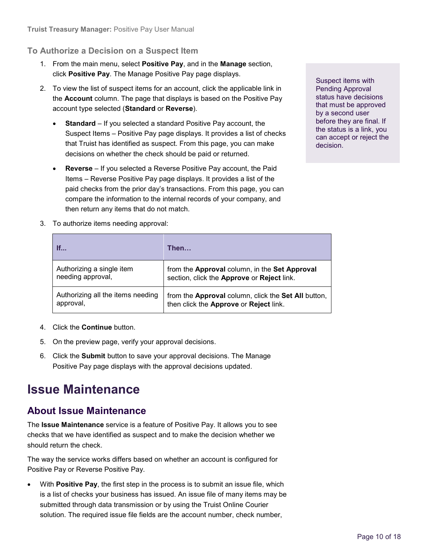### <span id="page-9-0"></span>**To Authorize a Decision on a Suspect Item**

- 1. From the main menu, select **Positive Pay**, and in the **Manage** section, click **Positive Pay**. The Manage Positive Pay page displays.
- 2. To view the list of suspect items for an account, click the applicable link in the **Account** column. The page that displays is based on the Positive Pay account type selected (**Standard** or **Reverse**).
	- **Standard** If you selected a standard Positive Pay account, the Suspect Items – Positive Pay page displays. It provides a list of checks that Truist has identified as suspect. From this page, you can make decisions on whether the check should be paid or returned.
	- **Reverse** If you selected a Reverse Positive Pay account, the Paid Items – Reverse Positive Pay page displays. It provides a list of the paid checks from the prior day's transactions. From this page, you can compare the information to the internal records of your company, and then return any items that do not match.

Suspect items with Pending Approval status have decisions that must be approved by a second user before they are final. If the status is a link, you can accept or reject the decision.

3. To authorize items needing approval:

| If                                | Then                                                              |
|-----------------------------------|-------------------------------------------------------------------|
| Authorizing a single item         | from the Approval column, in the Set Approval                     |
| needing approval,                 | section, click the Approve or Reject link.                        |
| Authorizing all the items needing | from the <b>Approval</b> column, click the <b>Set All</b> button, |
| approval,                         | then click the Approve or Reject link.                            |

- 4. Click the **Continue** button.
- 5. On the preview page, verify your approval decisions.
- 6. Click the **Submit** button to save your approval decisions. The Manage Positive Pay page displays with the approval decisions updated.

# <span id="page-9-1"></span>**Issue Maintenance**

### <span id="page-9-2"></span>**About Issue Maintenance**

The **Issue Maintenance** service is a feature of Positive Pay. It allows you to see checks that we have identified as suspect and to make the decision whether we should return the check.

The way the service works differs based on whether an account is configured for Positive Pay or Reverse Positive Pay.

• With **Positive Pay**, the first step in the process is to submit an issue file, which is a list of checks your business has issued. An issue file of many items may be submitted through data transmission or by using the Truist Online Courier solution. The required issue file fields are the account number, check number,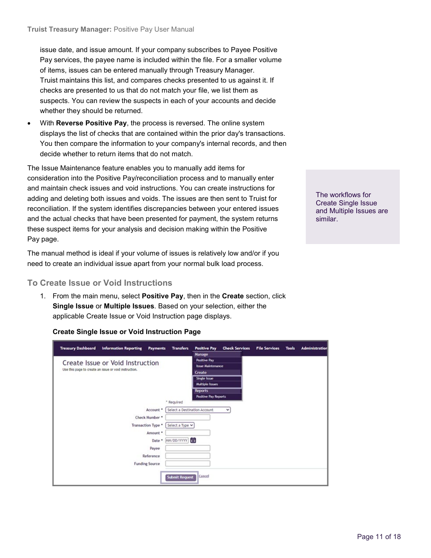issue date, and issue amount. If your company subscribes to Payee Positive Pay services, the payee name is included within the file. For a smaller volume of items, issues can be entered manually through Treasury Manager. Truist maintains this list, and compares checks presented to us against it. If checks are presented to us that do not match your file, we list them as suspects. You can review the suspects in each of your accounts and decide whether they should be returned.

• With **Reverse Positive Pay**, the process is reversed. The online system displays the list of checks that are contained within the prior day's transactions. You then compare the information to your company's internal records, and then decide whether to return items that do not match.

The Issue Maintenance feature enables you to manually add items for consideration into the Positive Pay/reconciliation process and to manually enter and maintain check issues and void instructions. You can create instructions for adding and deleting both issues and voids. The issues are then sent to Truist for reconciliation. If the system identifies discrepancies between your entered issues and the actual checks that have been presented for payment, the system returns these suspect items for your analysis and decision making within the Positive Pay page.

The manual method is ideal if your volume of issues is relatively low and/or if you need to create an individual issue apart from your normal bulk load process.

#### <span id="page-10-0"></span>**To Create Issue or Void Instructions**

1. From the main menu, select **Positive Pay**, then in the **Create** section, click **Single Issue** or **Multiple Issues**. Based on your selection, either the applicable Create Issue or Void Instruction page displays.

#### **Create Single Issue or Void Instruction Page**

| <b>Treasury Dashboard</b><br><b>Information Reporting</b><br><b>Payments</b> | <b>Transfers</b>             | <b>Positive Pay</b>         | <b>Check Services</b> | <b>File Services</b> | <b>Tools</b> | <b>Administration</b> |
|------------------------------------------------------------------------------|------------------------------|-----------------------------|-----------------------|----------------------|--------------|-----------------------|
|                                                                              |                              | Manage                      |                       |                      |              |                       |
| Create Issue or Void Instruction                                             |                              | <b>Positive Pay</b>         |                       |                      |              |                       |
| Use this page to create an issue or void instruction.                        |                              | <b>Issue Maintenance</b>    |                       |                      |              |                       |
|                                                                              |                              | Create                      |                       |                      |              |                       |
|                                                                              |                              | Single Issue                |                       |                      |              |                       |
|                                                                              |                              | <b>Multiple Issues</b>      |                       |                      |              |                       |
|                                                                              |                              | <b>Reports</b>              |                       |                      |              |                       |
|                                                                              | * Required                   | <b>Positive Pay Reports</b> |                       |                      |              |                       |
| Account *                                                                    | Select a Destination Account |                             | v                     |                      |              |                       |
| Check Number *                                                               |                              |                             |                       |                      |              |                       |
| Transaction Type *                                                           | Select a Type v              |                             |                       |                      |              |                       |
| Amount *                                                                     |                              |                             |                       |                      |              |                       |
| Date *                                                                       | MM/DD/YYYY 日                 |                             |                       |                      |              |                       |
| Payee                                                                        |                              |                             |                       |                      |              |                       |
| Reference                                                                    |                              |                             |                       |                      |              |                       |
| <b>Funding Source</b>                                                        |                              |                             |                       |                      |              |                       |
|                                                                              | <b>Submit Request</b>        | Cancel                      |                       |                      |              |                       |

The workflows for Create Single Issue and Multiple Issues are similar.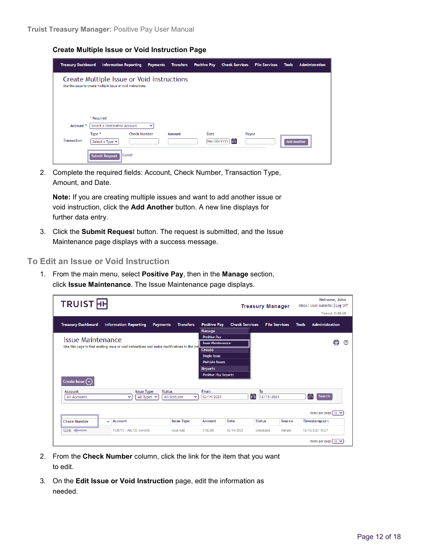**Create Multiple Issue or Void Instruction Page**

| <b>Treasury Dashboard</b>       | <b>Information Reporting</b>                                                                               | <b>Payments</b>                    | <b>Transfers</b> | <b>Positive Pay</b> | <b>Check Services</b>    | <b>File Services</b> | <b>Tools</b>       | <b>Administration</b> |
|---------------------------------|------------------------------------------------------------------------------------------------------------|------------------------------------|------------------|---------------------|--------------------------|----------------------|--------------------|-----------------------|
|                                 | Create Multiple Issue or Void Instructions<br>Use this page to create multiple issue or void instructions. |                                    |                  |                     |                          |                      |                    |                       |
| Account *<br><b>Transaction</b> | * Required<br>Select a Destination Account<br>Type *<br>Select a Type $\vee$                               | $\check{ }$<br><b>Check Number</b> | Amount           | Date                | Payee<br>眉<br>MM/DD/YYYY |                      | <b>Add Another</b> |                       |
|                                 | <b>Submit Request</b>                                                                                      | Cancel                             |                  |                     |                          |                      |                    |                       |

2. Complete the required fields: Account, Check Number, Transaction Type, Amount, and Date.

**Note:** If you are creating multiple issues and want to add another issue or void instruction, click the **Add Another** button. A new line displays for further data entry.

3. Click the **Submit Reques**t button. The request is submitted, and the Issue Maintenance page displays with a success message.

<span id="page-11-0"></span>**To Edit an Issue or Void Instruction**

1. From the main menu, select **Positive Pay**, then in the **Manage** section, click **Issue Maintenance**. The Issue Maintenance page displays.

| <b>TRUIST</b> HH          |                                                                                              |                              |                                                                                  |                       | <b>Treasury Manager</b> |                      | Inbox   User Material   Log Off | Welcome, John<br><b>Timeout: 0:26:18</b> |   |
|---------------------------|----------------------------------------------------------------------------------------------|------------------------------|----------------------------------------------------------------------------------|-----------------------|-------------------------|----------------------|---------------------------------|------------------------------------------|---|
| <b>Treasury Dashboard</b> | <b>Information Reporting</b><br><b>Payments</b>                                              | <b>Transfers</b>             | <b>Positive Pay</b><br><b>Manage</b>                                             | <b>Check Services</b> |                         | <b>File Services</b> | <b>Tools</b>                    | <b>Administration</b>                    |   |
| <b>Issue Maintenance</b>  | Use this page to find existing issue or void instructions and make modifications to the inst |                              | <b>Positive Pay</b><br><b>Issue Maintenance</b><br>Create<br><b>Single Issue</b> |                       |                         |                      |                                 | ⊟                                        | ි |
|                           |                                                                                              |                              | <b>Multiple Issues</b><br><b>Reports</b>                                         |                       |                         |                      |                                 |                                          |   |
| Create Issue $(\cdot)$    |                                                                                              |                              | <b>Positive Pay Reports</b>                                                      |                       |                         |                      |                                 |                                          |   |
| Account<br>All Accounts   | <b>Issue Type</b><br><b>Status</b><br>All Types $\vee$<br>$\checkmark$                       | All Statuses<br>$\checkmark$ | From<br>12/14/2021                                                               | 目                     | To<br>12/15/2021        |                      | 目                               | <b>Search</b>                            |   |
|                           |                                                                                              |                              |                                                                                  |                       |                         |                      |                                 | Items per page $10 \sqrt{2}$             |   |
| <b>Check Number</b><br>v  | Account                                                                                      | <b>Issue Type</b>            | Amount                                                                           | Date                  | <b>Status</b>           | Source               | Timestamp(EST)                  |                                          |   |
| 12345                     | 1338773 - ABC123 General                                                                     | <b>Issue Add</b>             | \$100.00                                                                         | 12/14/2021            | Scheduled               | Manual               | 12/15/2021 16:37                |                                          |   |
|                           |                                                                                              |                              |                                                                                  |                       |                         |                      |                                 | Items per page $\lceil 10 \rangle$       |   |

- 2. From the **Check Number** column, click the link for the item that you want to edit.
- 3. On the **Edit Issue or Void Instruction** page, edit the information as needed.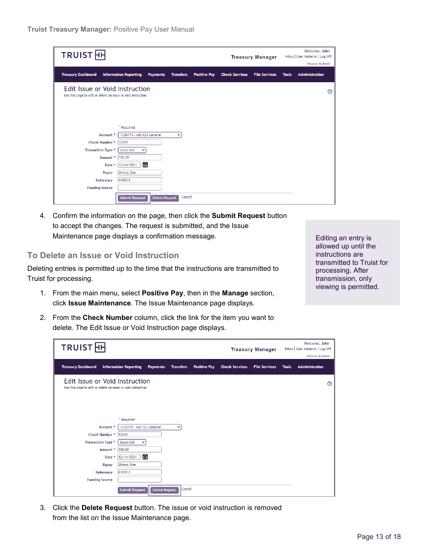| <b>TRUIST</b> <sub>H</sub>                                                                      |                                                 |                                 |                     |                       | <b>Treasury Manager</b> |              | Welcome, John<br>Inbox   User Material   Log Off<br>Timeout: 0:29:55 |
|-------------------------------------------------------------------------------------------------|-------------------------------------------------|---------------------------------|---------------------|-----------------------|-------------------------|--------------|----------------------------------------------------------------------|
| <b>Treasury Dashboard</b>                                                                       | <b>Information Reporting</b><br><b>Payments</b> | <b>Transfers</b>                | <b>Positive Pay</b> | <b>Check Services</b> | <b>File Services</b>    | <b>Tools</b> | <b>Administration</b>                                                |
| Edit Issue or Void Instruction<br>Use this page to edit or delete an issue or void instruction. |                                                 |                                 |                     |                       |                         |              | $\circledR$                                                          |
|                                                                                                 | * Required                                      |                                 |                     |                       |                         |              |                                                                      |
| Account *                                                                                       | 1338773 - ABC123 General                        | $\checkmark$                    |                     |                       |                         |              |                                                                      |
| Check Number *                                                                                  | 12345                                           |                                 |                     |                       |                         |              |                                                                      |
| <b>Transaction Type *</b>                                                                       | <b>Issue Add</b><br>$\checkmark$                |                                 |                     |                       |                         |              |                                                                      |
| Amount *                                                                                        | 100.00                                          |                                 |                     |                       |                         |              |                                                                      |
| Date *                                                                                          | 自<br>12/14/2021                                 |                                 |                     |                       |                         |              |                                                                      |
| Payee                                                                                           | Jimmy Doe                                       |                                 |                     |                       |                         |              |                                                                      |
| Reference                                                                                       | A1B2C3                                          |                                 |                     |                       |                         |              |                                                                      |
| <b>Funding Source</b>                                                                           |                                                 |                                 |                     |                       |                         |              |                                                                      |
|                                                                                                 | <b>Submit Request</b>                           | Cancel<br><b>Delete Request</b> |                     |                       |                         |              |                                                                      |

4. Confirm the information on the page, then click the **Submit Request** button to accept the changes. The request is submitted, and the Issue Maintenance page displays a confirmation message.

#### <span id="page-12-0"></span>**To Delete an Issue or Void Instruction**

Deleting entries is permitted up to the time that the instructions are transmitted to Truist for processing.

- 1. From the main menu, select **Positive Pay**, then in the **Manage** section, click **Issue Maintenance**. The Issue Maintenance page displays.
- 2. From the **Check Number** column, click the link for the item you want to delete. The Edit Issue or Void Instruction page displays.

Editing an entry is allowed up until the instructions are transmitted to Truist for processing. After transmission, only viewing is permitted.

| <b>TRUIST</b> HH                                                                                |                                                 |                  |                     |                       | <b>Treasury Manager</b> |              | Welcome, John<br>Inbox   User Material   Log Off<br>Timeout: 0:29:55 |
|-------------------------------------------------------------------------------------------------|-------------------------------------------------|------------------|---------------------|-----------------------|-------------------------|--------------|----------------------------------------------------------------------|
| <b>Treasury Dashboard</b>                                                                       | <b>Information Reporting</b><br><b>Payments</b> | <b>Transfers</b> | <b>Positive Pay</b> | <b>Check Services</b> | <b>File Services</b>    | <b>Tools</b> | <b>Administration</b>                                                |
| Edit Issue or Void Instruction<br>Use this page to edit or delete an issue or void instruction. |                                                 |                  |                     |                       |                         |              | $^{\circledR}$                                                       |
| Account *<br>Check Number *                                                                     | * Required<br>1338773 - ABC123 General<br>12345 | $\checkmark$     |                     |                       |                         |              |                                                                      |
| <b>Transaction Type *</b><br>Amount *<br>Date *                                                 | <b>Issue Add</b><br>100.00<br>自<br>12/14/2021   |                  |                     |                       |                         |              |                                                                      |
| Payee<br>Reference<br><b>Funding Source</b>                                                     | Jimmy Doe<br>A1B2C3                             |                  |                     |                       |                         |              |                                                                      |
|                                                                                                 | <b>Submit Request</b><br><b>Delete Request</b>  | <b>Cancel</b>    |                     |                       |                         |              |                                                                      |

3. Click the **Delete Request** button. The issue or void instruction is removed from the list on the Issue Maintenance page.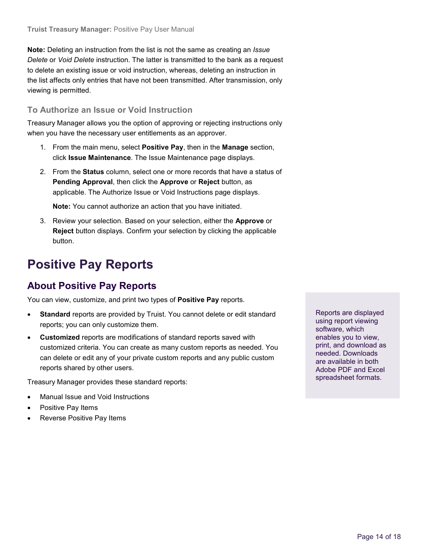**Note:** Deleting an instruction from the list is not the same as creating an *Issue Delete* or *Void Delete* instruction. The latter is transmitted to the bank as a request to delete an existing issue or void instruction, whereas, deleting an instruction in the list affects only entries that have not been transmitted. After transmission, only viewing is permitted.

#### <span id="page-13-0"></span>**To Authorize an Issue or Void Instruction**

Treasury Manager allows you the option of approving or rejecting instructions only when you have the necessary user entitlements as an approver.

- 1. From the main menu, select **Positive Pay**, then in the **Manage** section, click **Issue Maintenance**. The Issue Maintenance page displays.
- 2. From the **Status** column, select one or more records that have a status of **Pending Approval**, then click the **Approve** or **Reject** button, as applicable. The Authorize Issue or Void Instructions page displays.

**Note:** You cannot authorize an action that you have initiated.

3. Review your selection. Based on your selection, either the **Approve** or **Reject** button displays. Confirm your selection by clicking the applicable button.

# <span id="page-13-1"></span>**Positive Pay Reports**

# <span id="page-13-2"></span>**About Positive Pay Reports**

You can view, customize, and print two types of **Positive Pay** reports.

- **Standard** reports are provided by Truist. You cannot delete or edit standard reports; you can only customize them.
- **Customized** reports are modifications of standard reports saved with customized criteria. You can create as many custom reports as needed. You can delete or edit any of your private custom reports and any public custom reports shared by other users.

Treasury Manager provides these standard reports:

- Manual Issue and Void Instructions
- Positive Pay Items
- Reverse Positive Pay Items

Reports are displayed using report viewing software, which enables you to view, print, and download as needed. Downloads are available in both Adobe PDF and Excel spreadsheet formats.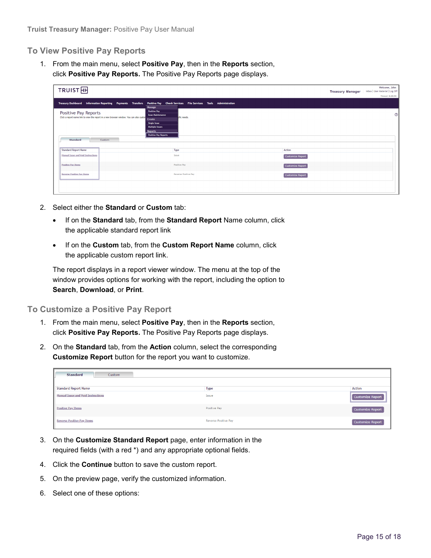#### <span id="page-14-0"></span>**To View Positive Pay Reports**

1. From the main menu, select **Positive Pay**, then in the **Reports** section, click **Positive Pay Reports.** The Positive Pay Reports page displays.

| TRUIST <sub>H</sub>                                                                                                                                                                                                                                                                                          |                                                                | <b>Treasury Manager</b> | Welcome, John<br>Inbox   User Material   Log Off |
|--------------------------------------------------------------------------------------------------------------------------------------------------------------------------------------------------------------------------------------------------------------------------------------------------------------|----------------------------------------------------------------|-------------------------|--------------------------------------------------|
|                                                                                                                                                                                                                                                                                                              |                                                                |                         | Timeout: 0:29:54                                 |
| Treasury Dashboard Information Reporting Payments Transfers<br>Manage                                                                                                                                                                                                                                        | Positive Pay Check Services File Services Tools Administration |                         |                                                  |
| <b>Positive Pay</b><br>Positive Pay Reports<br><b>Issue Maintenance</b><br>Click a report name link to view the report in a new browser window. You can also custor<br>Create<br><b>Single Issue</b><br><b>Multiple Issues</b><br><b>Reports</b><br><b>Positive Pay Reports</b><br><b>Standard</b><br>Custom | cific needs.                                                   |                         | $^{\circ}$                                       |
| <b>Standard Report Name</b>                                                                                                                                                                                                                                                                                  | Type                                                           | <b>Action</b>           |                                                  |
| Manual Issue and Void Instructions                                                                                                                                                                                                                                                                           | Issue                                                          | <b>Customize Report</b> |                                                  |
| <b>Positive Pay Items</b>                                                                                                                                                                                                                                                                                    | Positive Pay                                                   | <b>Customize Report</b> |                                                  |
| <b>Reverse Positive Pay Items</b>                                                                                                                                                                                                                                                                            | Reverse Positive Pay                                           | <b>Customize Report</b> |                                                  |
|                                                                                                                                                                                                                                                                                                              |                                                                |                         |                                                  |

- 2. Select either the **Standard** or **Custom** tab:
	- If on the **Standard** tab, from the **Standard Report** Name column, click the applicable standard report link
	- If on the **Custom** tab, from the **Custom Report Name** column, click the applicable custom report link.

The report displays in a report viewer window. The menu at the top of the window provides options for working with the report, including the option to **Search**, **Download**, or **Print**.

<span id="page-14-1"></span>**To Customize a Positive Pay Report**

- 1. From the main menu, select **Positive Pay**, then in the **Reports** section, click **Positive Pay Reports.** The Positive Pay Reports page displays.
- 2. On the **Standard** tab, from the **Action** column, select the corresponding **Customize Report** button for the report you want to customize.

| <b>Standard</b><br>Custom                 |                             |                  |
|-------------------------------------------|-----------------------------|------------------|
|                                           |                             |                  |
| <b>Standard Report Name</b>               | Type                        | <b>Action</b>    |
| <b>Manual Issue and Void Instructions</b> | Issue                       | Customize Report |
| <b>Positive Pay Items</b>                 | Positive Pay                | Customize Report |
| <b>Reverse Positive Pay Items</b>         | <b>Reverse Positive Pay</b> | Customize Report |

- 3. On the **Customize Standard Report** page, enter information in the required fields (with a red \*) and any appropriate optional fields.
- 4. Click the **Continue** button to save the custom report.
- 5. On the preview page, verify the customized information.
- 6. Select one of these options: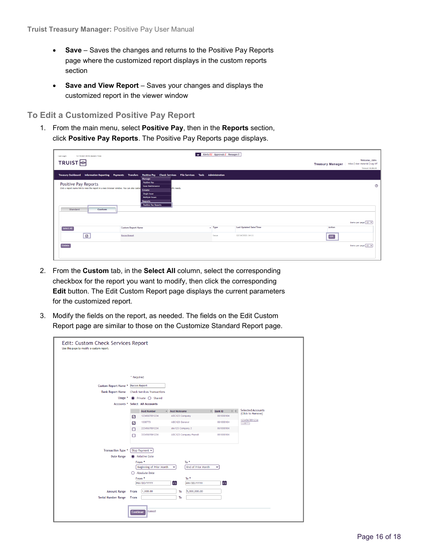- **Save** Saves the changes and returns to the Positive Pay Reports page where the customized report displays in the custom reports section
- **Save and View Report** Saves your changes and displays the customized report in the viewer window

<span id="page-15-0"></span>**To Edit a Customized Positive Pay Report**

1. From the main menu, select **Positive Pay**, then in the **Reports** section, click **Positive Pay Reports**. The Positive Pay Reports page displays.

| Alerts 82 Approvals 2 Messages 0<br>- Last Login:<br>12/14/2021 09:58 (Eastern Time)                                                                                                                                                                                                                                         |                                                                                                                       |                |                               |                         |                                                                      |
|------------------------------------------------------------------------------------------------------------------------------------------------------------------------------------------------------------------------------------------------------------------------------------------------------------------------------|-----------------------------------------------------------------------------------------------------------------------|----------------|-------------------------------|-------------------------|----------------------------------------------------------------------|
| TRUIST <sub>HH</sub>                                                                                                                                                                                                                                                                                                         |                                                                                                                       |                |                               | <b>Treasury Manager</b> | Welcome, John<br>Inbox   User Material   Log Off<br>Timeout: 0:28:19 |
|                                                                                                                                                                                                                                                                                                                              | Treasury Dashboard Information Reporting Payments Transfers Positive Pay Check Services File Services Tools<br>Manage | Administration |                               |                         |                                                                      |
| <b>Positive Pay</b><br>Positive Pay Reports<br>$^{\circ}$<br><b>Issue Maintenance</b><br>Click a report name link to view the report in a new browser window. You can also custor<br>cific needs.<br>Create<br><b>Single Issue</b><br>Multiple Issues<br><b>Reports</b><br><b>Positive Pay Reports</b><br>Custom<br>Standard |                                                                                                                       |                |                               |                         |                                                                      |
|                                                                                                                                                                                                                                                                                                                              |                                                                                                                       |                |                               |                         | Items per page $\boxed{10 - 8}$                                      |
| Select All                                                                                                                                                                                                                                                                                                                   | <b>Custom Report Name</b>                                                                                             | $\sim$ Type    | <b>Last Updated Date/Time</b> | Action                  |                                                                      |
| $\overline{\mathcal{L}}$                                                                                                                                                                                                                                                                                                     | <b>Recon Report</b>                                                                                                   | Issue          | 12/14/2021 14:11              | $_{\rm Edit}$           |                                                                      |
| Delete                                                                                                                                                                                                                                                                                                                       |                                                                                                                       |                |                               |                         | Items per page 10 V                                                  |

- 2. From the **Custom** tab, in the **Select All** column, select the corresponding checkbox for the report you want to modify, then click the corresponding **Edit** button. The Edit Custom Report page displays the current parameters for the customized report.
- 3. Modify the fields on the report, as needed. The fields on the Edit Custom Report page are similar to those on the Customize Standard Report page.

| Edit: Custom Check Services Report<br>Use this page to modify a custom report. |                                                                                                    |                                    |                                |                                               |
|--------------------------------------------------------------------------------|----------------------------------------------------------------------------------------------------|------------------------------------|--------------------------------|-----------------------------------------------|
|                                                                                |                                                                                                    |                                    |                                |                                               |
|                                                                                |                                                                                                    |                                    |                                |                                               |
|                                                                                |                                                                                                    |                                    |                                |                                               |
|                                                                                | * Required                                                                                         |                                    |                                |                                               |
| Custom Report Name *                                                           | <b>Recon Report</b>                                                                                |                                    |                                |                                               |
| <b>Bank Report Name</b>                                                        | <b>Check Services Transactions</b>                                                                 |                                    |                                |                                               |
| Usage *                                                                        | $\bullet$ Private $\bigcirc$ Shared                                                                |                                    |                                |                                               |
| Accounts <sup>*</sup>                                                          | Select All Accounts                                                                                |                                    |                                |                                               |
|                                                                                | <b>Acct Number</b><br>$\hat{\phantom{a}}$                                                          | <b>Acct Nickname</b>               | $O$ Bank ID<br>$\circ$ $\circ$ | <b>Selected Accounts</b><br>(Click to Remove) |
|                                                                                | 1234567891234<br>☑                                                                                 | ABC123 Company<br>061000104        |                                | 1234567891234                                 |
|                                                                                | 1338773<br>ABC123 General<br>061000104<br>$\overline{\mathcal{L}}$                                 |                                    |                                | 1338773                                       |
|                                                                                | 2234567891234<br>abc123 Company 2<br>□<br><b>ABC123 Company Payroll</b><br>3334567891234<br>$\Box$ |                                    | 061000104                      |                                               |
|                                                                                |                                                                                                    |                                    | 061000104                      |                                               |
|                                                                                |                                                                                                    |                                    |                                |                                               |
| <b>Transaction Type *</b>                                                      | Stop Payment Y                                                                                     |                                    |                                |                                               |
| <b>Date Range</b>                                                              | Relative Date                                                                                      |                                    |                                |                                               |
|                                                                                | From *                                                                                             | To *                               |                                |                                               |
|                                                                                | Beginning of Prior Month                                                                           | End of Prior Month<br>$\checkmark$ | v                              |                                               |
|                                                                                | ○ Absolute Date                                                                                    |                                    |                                |                                               |
|                                                                                | From *                                                                                             | To *                               |                                |                                               |
|                                                                                | MA/DD/YYYY                                                                                         | 首<br>MM/DD/YYYY                    | 崮                              |                                               |
| <b>Amount Range</b>                                                            | 1,000.00<br>From                                                                                   | 5,000,000.00<br>To                 |                                |                                               |
| <b>Serial Number Range</b>                                                     | From                                                                                               | To                                 |                                |                                               |
|                                                                                |                                                                                                    |                                    |                                |                                               |
|                                                                                | Cancel<br>Continue                                                                                 |                                    |                                |                                               |
|                                                                                |                                                                                                    |                                    |                                |                                               |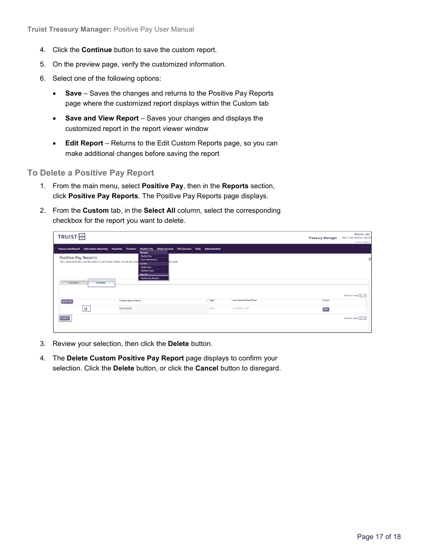- 4. Click the **Continue** button to save the custom report.
- 5. On the preview page, verify the customized information.
- 6. Select one of the following options:
	- **Save** Saves the changes and returns to the Positive Pay Reports page where the customized report displays within the Custom tab
	- **Save and View Report** Saves your changes and displays the customized report in the report viewer window
	- **Edit Report** Returns to the Edit Custom Reports page, so you can make additional changes before saving the report

#### <span id="page-16-0"></span>**To Delete a Positive Pay Report**

- 1. From the main menu, select **Positive Pay**, then in the **Reports** section, click **Positive Pay Reports**. The Positive Pay Reports page displays.
- 2. From the **Custom** tab, in the **Select All** column, select the corresponding checkbox for the report you want to delete.

| TRUIST <sub>H</sub>                                                                                                                    |                                                                                                                                                                     |             |                               | <b>Treasury Manager</b> | Welcome, John<br>Inbox   User Material   Log Off |
|----------------------------------------------------------------------------------------------------------------------------------------|---------------------------------------------------------------------------------------------------------------------------------------------------------------------|-------------|-------------------------------|-------------------------|--------------------------------------------------|
|                                                                                                                                        |                                                                                                                                                                     |             |                               |                         | Timeout: 0:28:19                                 |
|                                                                                                                                        | Treasury Dashboard Information Reporting Payments Transfers Positive Pay Check Services File Services Tools Administration<br>Manage                                |             |                               |                         |                                                  |
| Positive Pay Reports<br>Click a report name link to view the report in a new browser window. You can also custor<br>Custom<br>Standard | <b>Positive Pay</b><br><b>Issue Maintenance</b><br>ofic needs.<br>Create<br>Single Issue<br><b>Multiple Issues</b><br><b>Ronorts</b><br><b>Positive Pay Reports</b> |             |                               |                         | $\mathcal{C}$                                    |
|                                                                                                                                        |                                                                                                                                                                     |             |                               |                         | Items per page [10 V]                            |
| Select All                                                                                                                             | <b>Custom Report Name</b>                                                                                                                                           | $\sim$ Type | <b>Last Updated Date/Time</b> | Action                  |                                                  |
| ø                                                                                                                                      | <b>Recon Report</b>                                                                                                                                                 | Issue       | 12/14/2021 14:11              | Edit                    |                                                  |
| Delete                                                                                                                                 |                                                                                                                                                                     |             |                               |                         | Items per page [10 V]                            |

- 3. Review your selection, then click the **Delete** button.
- 4. The **Delete Custom Positive Pay Report** page displays to confirm your selection. Click the **Delete** button, or click the **Cancel** button to disregard.